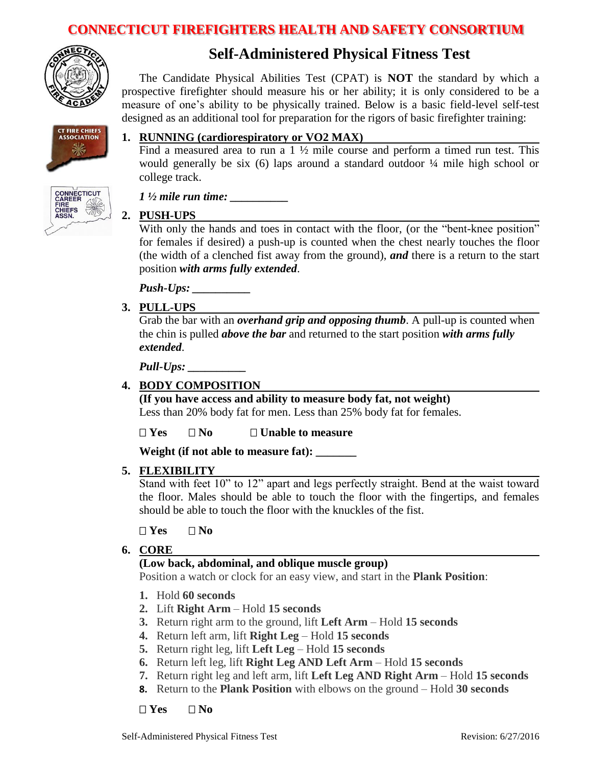

# **Self-Administered Physical Fitness Test**

The Candidate Physical Abilities Test (CPAT) is **NOT** the standard by which a prospective firefighter should measure his or her ability; it is only considered to be a measure of one's ability to be physically trained. Below is a basic field-level self-test designed as an additional tool for preparation for the rigors of basic firefighter training:



#### **1. RUNNING (cardiorespiratory or VO2 MAX)**

Find a measured area to run a  $1 \frac{1}{2}$  mile course and perform a timed run test. This would generally be six (6) laps around a standard outdoor ¼ mile high school or college track.



# **2. PUSH-UPS**

With only the hands and toes in contact with the floor, (or the "bent-knee position" for females if desired) a push-up is counted when the chest nearly touches the floor (the width of a clenched fist away from the ground), *and* there is a return to the start position *with arms fully extended*.

*Push-Ups:* 

*1*  $\frac{1}{2}$  *mile run time:* 

#### **3. PULL-UPS**

Grab the bar with an *overhand grip and opposing thumb*. A pull-up is counted when the chin is pulled *above the bar* and returned to the start position *with arms fully extended*.

*Pull-Ups: \_\_\_\_\_\_\_\_\_\_*

#### **4. BODY COMPOSITION**

**(If you have access and ability to measure body fat, not weight)** Less than 20% body fat for men. Less than 25% body fat for females.

**Yes No Unable to measure**

**Weight (if not able to measure fat): \_\_\_\_\_\_\_**

#### **5. FLEXIBILITY**

Stand with feet 10" to 12" apart and legs perfectly straight. Bend at the waist toward the floor. Males should be able to touch the floor with the fingertips, and females should be able to touch the floor with the knuckles of the fist.

#### $\Box$  **Yes**  $\Box$  **No**

#### **6. CORE**

### **(Low back, abdominal, and oblique muscle group)**

Position a watch or clock for an easy view, and start in the **Plank Position**:

- **1.** Hold **60 seconds**
- **2.** Lift **Right Arm**  Hold **15 seconds**
- **3.** Return right arm to the ground, lift **Left Arm** Hold **15 seconds**
- **4.** Return left arm, lift **Right Leg** Hold **15 seconds**
- **5.** Return right leg, lift **Left Leg**  Hold **15 seconds**
- **6.** Return left leg, lift **Right Leg AND Left Arm**  Hold **15 seconds**
- **7.** Return right leg and left arm, lift **Left Leg AND Right Arm** Hold **15 seconds**
- **8.** Return to the **Plank Position** with elbows on the ground Hold **30 seconds**

#### **Yes No**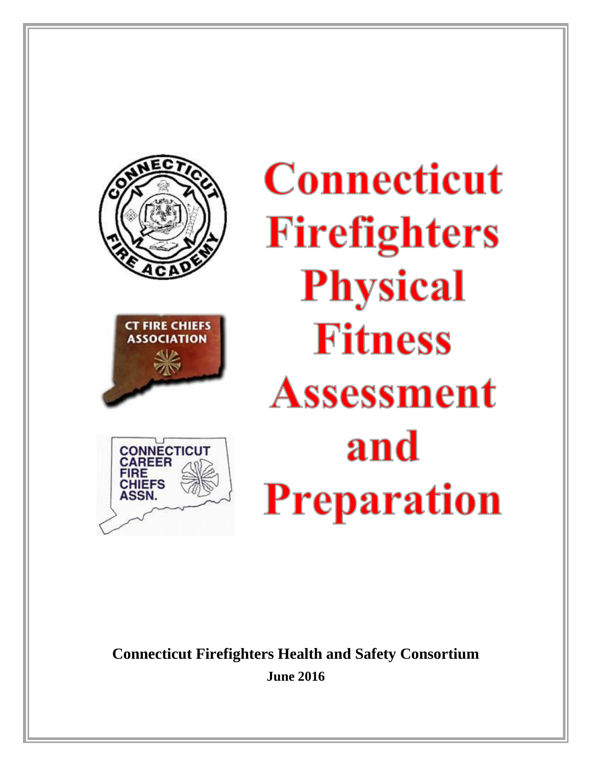

**CONNECTICUT** 

**CHIEFS** 

**ASSN.** 

# **Connecticut Firefighters Physical** Fitness Assessment and **Preparation**

**Connecticut Firefighters Health and Safety Consortium June 2016**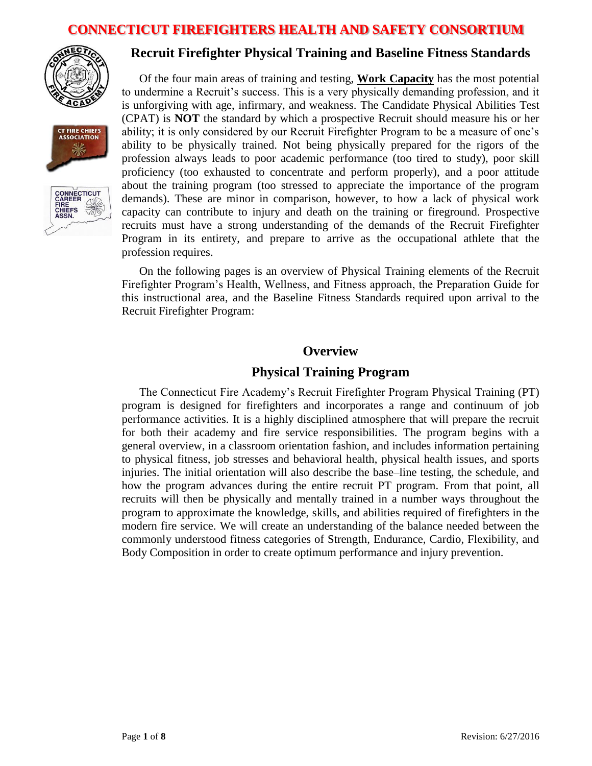





# **Recruit Firefighter Physical Training and Baseline Fitness Standards**

Of the four main areas of training and testing, **Work Capacity** has the most potential to undermine a Recruit's success. This is a very physically demanding profession, and it is unforgiving with age, infirmary, and weakness. The Candidate Physical Abilities Test (CPAT) is **NOT** the standard by which a prospective Recruit should measure his or her ability; it is only considered by our Recruit Firefighter Program to be a measure of one's ability to be physically trained. Not being physically prepared for the rigors of the profession always leads to poor academic performance (too tired to study), poor skill proficiency (too exhausted to concentrate and perform properly), and a poor attitude about the training program (too stressed to appreciate the importance of the program demands). These are minor in comparison, however, to how a lack of physical work capacity can contribute to injury and death on the training or fireground. Prospective recruits must have a strong understanding of the demands of the Recruit Firefighter Program in its entirety, and prepare to arrive as the occupational athlete that the profession requires.

On the following pages is an overview of Physical Training elements of the Recruit Firefighter Program's Health, Wellness, and Fitness approach, the Preparation Guide for this instructional area, and the Baseline Fitness Standards required upon arrival to the Recruit Firefighter Program:

# **Overview**

#### **Physical Training Program**

The Connecticut Fire Academy's Recruit Firefighter Program Physical Training (PT) program is designed for firefighters and incorporates a range and continuum of job performance activities. It is a highly disciplined atmosphere that will prepare the recruit for both their academy and fire service responsibilities. The program begins with a general overview, in a classroom orientation fashion, and includes information pertaining to physical fitness, job stresses and behavioral health, physical health issues, and sports injuries. The initial orientation will also describe the base–line testing, the schedule, and how the program advances during the entire recruit PT program. From that point, all recruits will then be physically and mentally trained in a number ways throughout the program to approximate the knowledge, skills, and abilities required of firefighters in the modern fire service. We will create an understanding of the balance needed between the commonly understood fitness categories of Strength, Endurance, Cardio, Flexibility, and Body Composition in order to create optimum performance and injury prevention.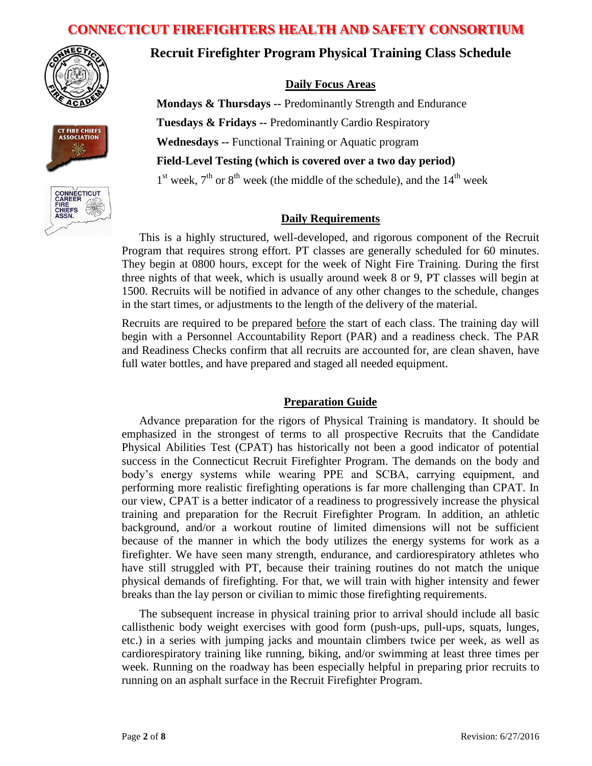





# **Recruit Firefighter Program Physical Training Class Schedule**

#### **Daily Focus Areas**

**Mondays & Thursdays --** Predominantly Strength and Endurance **Tuesdays & Fridays --** Predominantly Cardio Respiratory **Wednesdays --** Functional Training or Aquatic program **Field-Level Testing (which is covered over a two day period)**  $1<sup>st</sup>$  week,  $7<sup>th</sup>$  or  $8<sup>th</sup>$  week (the middle of the schedule), and the  $14<sup>th</sup>$  week

#### **Daily Requirements**

This is a highly structured, well-developed, and rigorous component of the Recruit Program that requires strong effort. PT classes are generally scheduled for 60 minutes. They begin at 0800 hours, except for the week of Night Fire Training. During the first three nights of that week, which is usually around week 8 or 9, PT classes will begin at 1500. Recruits will be notified in advance of any other changes to the schedule, changes in the start times, or adjustments to the length of the delivery of the material.

Recruits are required to be prepared before the start of each class. The training day will begin with a Personnel Accountability Report (PAR) and a readiness check. The PAR and Readiness Checks confirm that all recruits are accounted for, are clean shaven, have full water bottles, and have prepared and staged all needed equipment.

#### **Preparation Guide**

Advance preparation for the rigors of Physical Training is mandatory. It should be emphasized in the strongest of terms to all prospective Recruits that the Candidate Physical Abilities Test (CPAT) has historically not been a good indicator of potential success in the Connecticut Recruit Firefighter Program. The demands on the body and body's energy systems while wearing PPE and SCBA, carrying equipment, and performing more realistic firefighting operations is far more challenging than CPAT. In our view, CPAT is a better indicator of a readiness to progressively increase the physical training and preparation for the Recruit Firefighter Program. In addition, an athletic background, and/or a workout routine of limited dimensions will not be sufficient because of the manner in which the body utilizes the energy systems for work as a firefighter. We have seen many strength, endurance, and cardiorespiratory athletes who have still struggled with PT, because their training routines do not match the unique physical demands of firefighting. For that, we will train with higher intensity and fewer breaks than the lay person or civilian to mimic those firefighting requirements.

The subsequent increase in physical training prior to arrival should include all basic callisthenic body weight exercises with good form (push-ups, pull-ups, squats, lunges, etc.) in a series with jumping jacks and mountain climbers twice per week, as well as cardiorespiratory training like running, biking, and/or swimming at least three times per week. Running on the roadway has been especially helpful in preparing prior recruits to running on an asphalt surface in the Recruit Firefighter Program.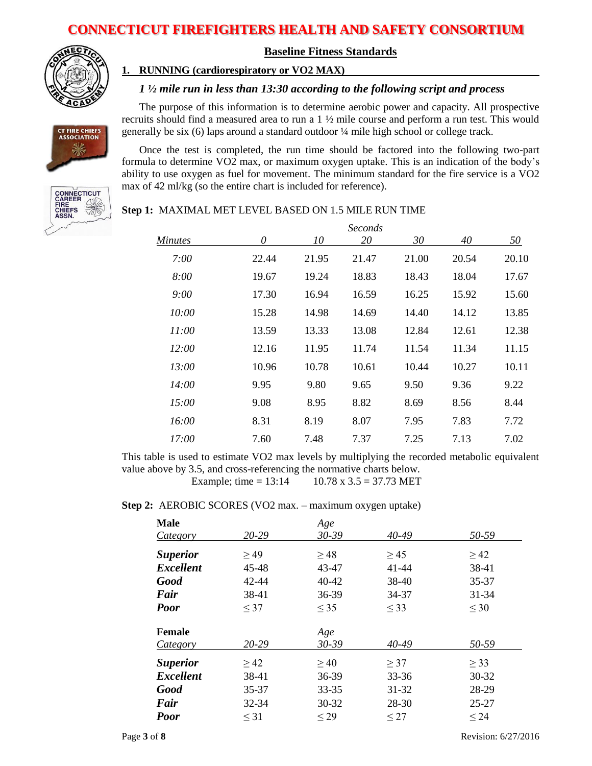

CT FIRE CHIEFS<br>ASSOCIATION 业

#### **Baseline Fitness Standards**

#### **1. RUNNING (cardiorespiratory or VO2 MAX)**

#### *1 ½ mile run in less than 13:30 according to the following script and process*

The purpose of this information is to determine aerobic power and capacity. All prospective recruits should find a measured area to run a  $1 \frac{1}{2}$  mile course and perform a run test. This would generally be six (6) laps around a standard outdoor ¼ mile high school or college track.

Once the test is completed, the run time should be factored into the following two-part formula to determine VO2 max, or maximum oxygen uptake. This is an indication of the body's ability to use oxygen as fuel for movement. The minimum standard for the fire service is a VO2 max of 42 ml/kg (so the entire chart is included for reference).



#### **Step 1:** MAXIMAL MET LEVEL BASED ON 1.5 MILE RUN TIME

|              | Seconds |       |       |       |       |       |
|--------------|---------|-------|-------|-------|-------|-------|
| Minutes      | 0       | 10    | 20    | 30    | 40    | 50    |
| 7:00         | 22.44   | 21.95 | 21.47 | 21.00 | 20.54 | 20.10 |
| 8:00         | 19.67   | 19.24 | 18.83 | 18.43 | 18.04 | 17.67 |
| 9:00         | 17.30   | 16.94 | 16.59 | 16.25 | 15.92 | 15.60 |
| 10:00        | 15.28   | 14.98 | 14.69 | 14.40 | 14.12 | 13.85 |
| 11:00        | 13.59   | 13.33 | 13.08 | 12.84 | 12.61 | 12.38 |
| 12:00        | 12.16   | 11.95 | 11.74 | 11.54 | 11.34 | 11.15 |
| 13:00        | 10.96   | 10.78 | 10.61 | 10.44 | 10.27 | 10.11 |
| <i>14:00</i> | 9.95    | 9.80  | 9.65  | 9.50  | 9.36  | 9.22  |
| 15:00        | 9.08    | 8.95  | 8.82  | 8.69  | 8.56  | 8.44  |
| 16:00        | 8.31    | 8.19  | 8.07  | 7.95  | 7.83  | 7.72  |
| 17:00        | 7.60    | 7.48  | 7.37  | 7.25  | 7.13  | 7.02  |

This table is used to estimate VO2 max levels by multiplying the recorded metabolic equivalent value above by 3.5, and cross-referencing the normative charts below.

Example; time =  $13:14$  10.78 x 3.5 = 37.73 MET

#### **Step 2:** AEROBIC SCORES (VO2 max. – maximum oxygen uptake)

| <b>Male</b>      |           | Age       |           |           |
|------------------|-----------|-----------|-----------|-----------|
| <i>Category</i>  | 20-29     | $30 - 39$ | 40-49     | 50-59     |
| <b>Superior</b>  | $\geq$ 49 | $\geq$ 48 | $\geq$ 45 | $\geq$ 42 |
| <b>Excellent</b> | 45-48     | 43-47     | 41-44     | 38-41     |
| <b>Good</b>      | 42-44     | $40 - 42$ | 38-40     | 35-37     |
| Fair             | 38-41     | 36-39     | 34-37     | $31 - 34$ |
| <b>Poor</b>      | $\leq$ 37 | $\leq$ 35 | $\leq$ 33 | $\leq 30$ |
| <b>Female</b>    |           | Age       |           |           |
| Category         | 20-29     | $30 - 39$ | $40 - 49$ | 50-59     |
| <b>Superior</b>  | $\geq$ 42 | $\geq 40$ | $\geq$ 37 | $\geq$ 33 |
| <b>Excellent</b> | 38-41     | 36-39     | 33-36     | 30-32     |
| <b>Good</b>      | 35-37     | $33 - 35$ | 31-32     | 28-29     |
| Fair             | 32-34     | $30 - 32$ | 28-30     | $25 - 27$ |
| <b>Poor</b>      | $\leq$ 31 | $\leq$ 29 | $\leq$ 27 | $\leq 24$ |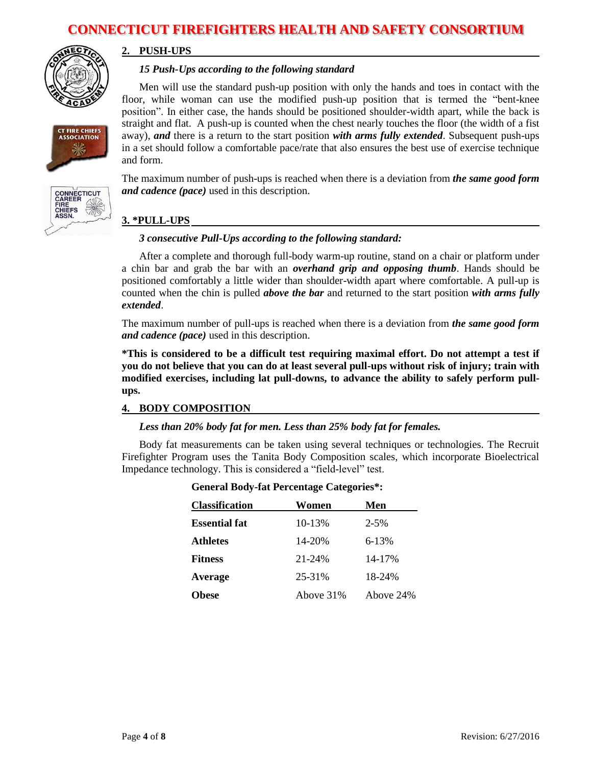

**CT FIRE CHIEFS ASSOCIATION** 

#### **2. PUSH-UPS**

#### *15 Push-Ups according to the following standard*

Men will use the standard push-up position with only the hands and toes in contact with the floor, while woman can use the modified push-up position that is termed the "bent-knee position". In either case, the hands should be positioned shoulder-width apart, while the back is straight and flat. A push-up is counted when the chest nearly touches the floor (the width of a fist away), *and* there is a return to the start position *with arms fully extended*. Subsequent push-ups in a set should follow a comfortable pace/rate that also ensures the best use of exercise technique and form.

The maximum number of push-ups is reached when there is a deviation from *the same good form and cadence (pace)* used in this description.



# **3. \*PULL-UPS**

#### *3 consecutive Pull-Ups according to the following standard:*

After a complete and thorough full-body warm-up routine, stand on a chair or platform under a chin bar and grab the bar with an *overhand grip and opposing thumb*. Hands should be positioned comfortably a little wider than shoulder-width apart where comfortable. A pull-up is counted when the chin is pulled *above the bar* and returned to the start position *with arms fully extended*.

The maximum number of pull-ups is reached when there is a deviation from *the same good form and cadence (pace)* used in this description.

**\*This is considered to be a difficult test requiring maximal effort. Do not attempt a test if you do not believe that you can do at least several pull-ups without risk of injury; train with modified exercises, including lat pull-downs, to advance the ability to safely perform pullups.** 

#### **4. BODY COMPOSITION**

#### *Less than 20% body fat for men. Less than 25% body fat for females.*

Body fat measurements can be taken using several techniques or technologies. The Recruit Firefighter Program uses the Tanita Body Composition scales, which incorporate Bioelectrical Impedance technology. This is considered a "field-level" test.

| <b>Classification</b> | Women     | Men       |
|-----------------------|-----------|-----------|
| <b>Essential fat</b>  | 10-13%    | $2 - 5\%$ |
| <b>Athletes</b>       | 14-20%    | 6-13%     |
| <b>Fitness</b>        | 21-24%    | 14-17%    |
| Average               | 25-31%    | 18-24%    |
| <b>Obese</b>          | Above 31% | Above 24% |

#### **General Body-fat Percentage Categories\*:**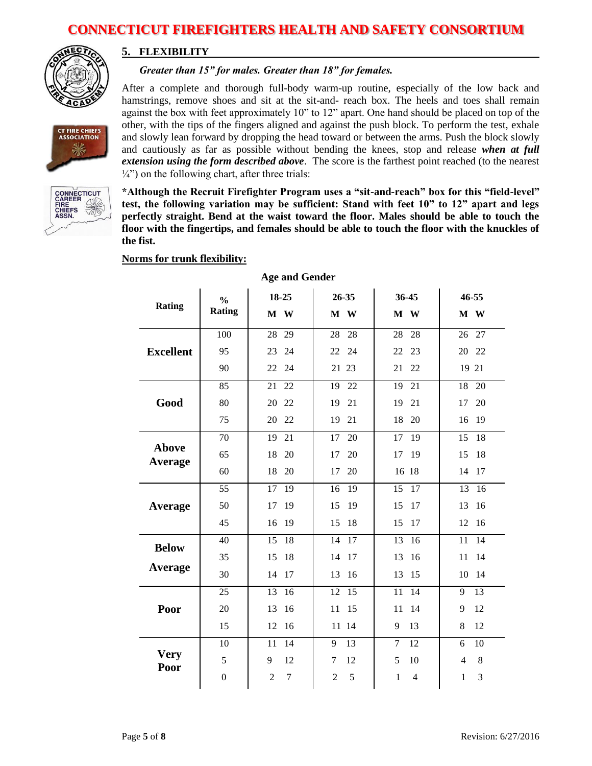

#### **5. FLEXIBILITY**

#### *Greater than 15" for males. Greater than 18" for females.*

CT FIRE CHIEFS<br>ASSOCIATION 坐



After a complete and thorough full-body warm-up routine, especially of the low back and hamstrings, remove shoes and sit at the sit-and- reach box. The heels and toes shall remain against the box with feet approximately 10" to 12" apart. One hand should be placed on top of the other, with the tips of the fingers aligned and against the push block. To perform the test, exhale and slowly lean forward by dropping the head toward or between the arms. Push the block slowly and cautiously as far as possible without bending the knees, stop and release *when at full extension using the form described above*. The score is the farthest point reached (to the nearest  $\frac{1}{4}$ ") on the following chart, after three trials:

**\*Although the Recruit Firefighter Program uses a "sit-and-reach" box for this "field-level" test, the following variation may be sufficient: Stand with feet 10" to 12" apart and legs perfectly straight. Bend at the waist toward the floor. Males should be able to touch the floor with the fingertips, and females should be able to touch the floor with the knuckles of the fist.** 

#### **Norms for trunk flexibility:**

|                         | $\frac{0}{0}$    | 18-25                    | 26-35               | 36-45                | 46-55               |
|-------------------------|------------------|--------------------------|---------------------|----------------------|---------------------|
| <b>Rating</b>           | <b>Rating</b>    | M W                      | M W                 | M W                  | M W                 |
|                         | 100              | 28<br>29                 | 28<br>28            | 28<br>28             | 26<br>27            |
| <b>Excellent</b>        | 95               | 24<br>23                 | 22<br>24            | 22<br>23             | 20<br>22            |
|                         | 90               | 22<br>24                 | 21 23               | 21<br>22             | 19 21               |
|                         | 85               | 22<br>21                 | 22<br>19            | 21<br>19             | 20<br>18            |
| Good                    | 80               | 20<br>22                 | 19<br>21            | 19<br>21             | 17<br>20            |
|                         | 75               | 20<br>22                 | 19<br>21            | 18<br>20             | 19<br>16            |
|                         | 70               | 19<br>21                 | 17<br>20            | 17<br>19             | 18<br>15            |
| <b>Above</b><br>Average | 65               | 18<br>20                 | 20<br>17            | 19<br>17             | 18<br>15            |
|                         | 60               | 18<br>20                 | 17<br>20            | 16 18                | 14<br>17            |
|                         | $\overline{55}$  | 17<br>19                 | 19<br>16            | 15<br>17             | 13<br>16            |
| Average                 | 50               | 19<br>17                 | 15<br>19            | 15<br>17             | 13<br>16            |
|                         | 45               | 16<br>19                 | 15<br>18            | 15<br>17             | 12<br>16            |
| <b>Below</b>            | 40               | 15<br>18                 | 14<br>17            | 13<br>16             | 11<br>14            |
|                         | 35               | 18<br>15                 | 14<br>17            | 13<br>16             | 11<br>14            |
| Average                 | 30               | 14<br>17                 | 16<br>13            | 13<br>15             | 14<br>10            |
|                         | 25               | 13<br>16                 | 12<br>15            | 14<br>11             | 13<br>9             |
| Poor                    | 20               | 13<br>16                 | 15<br>11            | 14<br>11             | 12<br>9             |
|                         | 15               | 12<br>16                 | 11 14               | 9<br>13              | 8<br>12             |
|                         | 10               | 11<br>14                 | 13<br>9             | $\overline{7}$<br>12 | 6<br>10             |
| <b>Very</b><br>Poor     | 5                | 12<br>9                  | 12<br>7             | 5<br>10              | $\overline{4}$<br>8 |
|                         | $\boldsymbol{0}$ | $\overline{2}$<br>$\tau$ | $\overline{2}$<br>5 | 1<br>$\overline{4}$  | 3<br>$\mathbf{1}$   |

# **Age and Gender**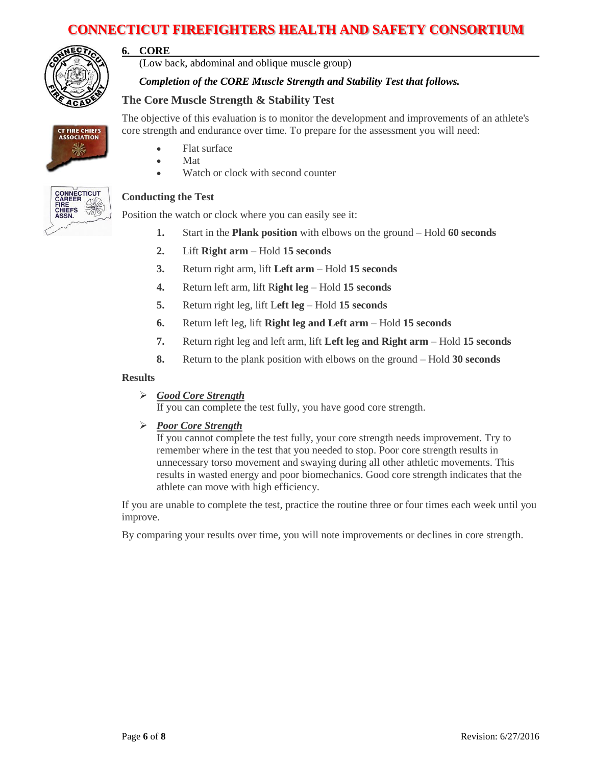

**6. CORE**

(Low back, abdominal and oblique muscle group)

#### *Completion of the CORE Muscle Strength and Stability Test that follows.*

core strength and endurance over time. To prepare for the assessment you will need:

### **The Core Muscle Strength & Stability Test**

CT FIRE CHIEFS<br>ASSOCIATION 坐

- Flat surface
- Mat
- Watch or clock with second counter



#### **Conducting the Test**

Position the watch or clock where you can easily see it:

**1.** Start in the **Plank position** with elbows on the ground – Hold **60 seconds**

The objective of this evaluation is to monitor the development and improvements of an athlete's

- **2.** Lift **Right arm**  Hold **15 seconds**
- **3.** Return right arm, lift **Left arm** Hold **15 seconds**
- **4.** Return left arm, lift R**ight leg** Hold **15 seconds**
- **5.** Return right leg, lift L**eft leg**  Hold **15 seconds**
- **6.** Return left leg, lift **Right leg and Left arm**  Hold **15 seconds**
- **7.** Return right leg and left arm, lift **Left leg and Right arm** Hold **15 seconds**
- **8.** Return to the plank position with elbows on the ground Hold **30 seconds**

#### **Results**

*Good Core Strength*

If you can complete the test fully, you have good core strength.

*Poor Core Strength*

If you cannot complete the test fully, your core strength needs improvement. Try to remember where in the test that you needed to stop. Poor core strength results in unnecessary torso movement and swaying during all other athletic movements. This results in wasted energy and poor biomechanics. Good core strength indicates that the athlete can move with high efficiency.

If you are unable to complete the test, practice the routine three or four times each week until you improve.

By comparing your results over time, you will note improvements or declines in core strength.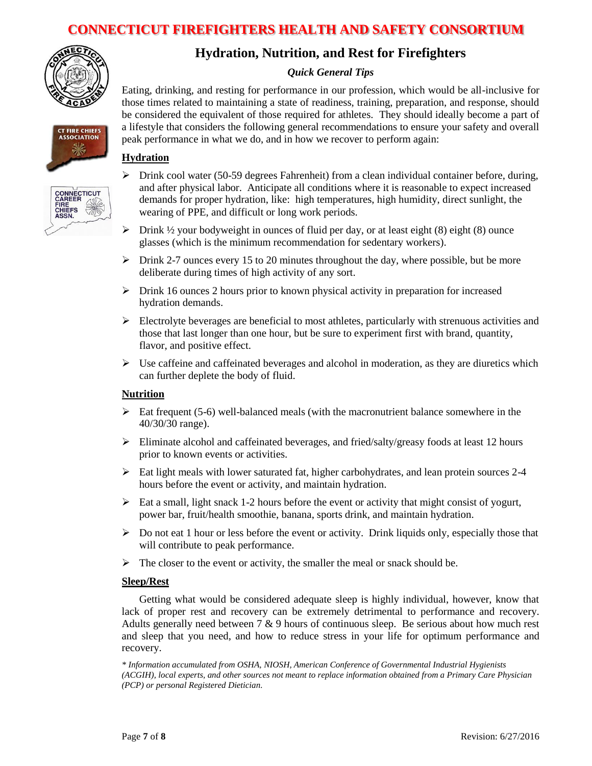

**CT FIRE CHIEFS ASSOCIATION** 

CONNECTICUT **CAREE**<br>FIRE<br>CHIEFS<br>ASSN.

# **Hydration, Nutrition, and Rest for Firefighters**

#### *Quick General Tips*

Eating, drinking, and resting for performance in our profession, which would be all-inclusive for those times related to maintaining a state of readiness, training, preparation, and response, should be considered the equivalent of those required for athletes. They should ideally become a part of a lifestyle that considers the following general recommendations to ensure your safety and overall peak performance in what we do, and in how we recover to perform again:

#### **Hydration**



- $\triangleright$  Drink  $\frac{1}{2}$  your bodyweight in ounces of fluid per day, or at least eight (8) eight (8) ounce glasses (which is the minimum recommendation for sedentary workers).
- $\triangleright$  Drink 2-7 ounces every 15 to 20 minutes throughout the day, where possible, but be more deliberate during times of high activity of any sort.
- $\triangleright$  Drink 16 ounces 2 hours prior to known physical activity in preparation for increased hydration demands.
- $\triangleright$  Electrolyte beverages are beneficial to most athletes, particularly with strenuous activities and those that last longer than one hour, but be sure to experiment first with brand, quantity, flavor, and positive effect.
- $\triangleright$  Use caffeine and caffeinated beverages and alcohol in moderation, as they are diuretics which can further deplete the body of fluid.

#### **Nutrition**

- $\triangleright$  Eat frequent (5-6) well-balanced meals (with the macronutrient balance somewhere in the 40/30/30 range).
- $\triangleright$  Eliminate alcohol and caffeinated beverages, and fried/salty/greasy foods at least 12 hours prior to known events or activities.
- $\triangleright$  Eat light meals with lower saturated fat, higher carbohydrates, and lean protein sources 2-4 hours before the event or activity, and maintain hydration.
- $\triangleright$  Eat a small, light snack 1-2 hours before the event or activity that might consist of yogurt, power bar, fruit/health smoothie, banana, sports drink, and maintain hydration.
- $\triangleright$  Do not eat 1 hour or less before the event or activity. Drink liquids only, especially those that will contribute to peak performance.
- $\triangleright$  The closer to the event or activity, the smaller the meal or snack should be.

#### **Sleep/Rest**

Getting what would be considered adequate sleep is highly individual, however, know that lack of proper rest and recovery can be extremely detrimental to performance and recovery. Adults generally need between  $7 \& 9$  hours of continuous sleep. Be serious about how much rest and sleep that you need, and how to reduce stress in your life for optimum performance and recovery.

*\* Information accumulated from OSHA, NIOSH, American Conference of Governmental Industrial Hygienists (ACGIH), local experts, and other sources not meant to replace information obtained from a Primary Care Physician (PCP) or personal Registered Dietician.*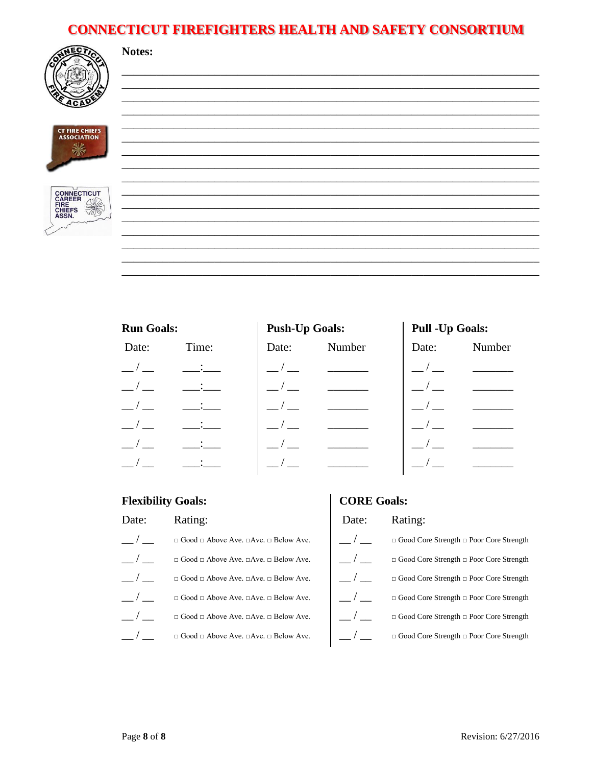

**CT FIRE CHIEFS<br>ASSOCIATION** ▒



| <b>Run Goals:</b> |  |
|-------------------|--|
|-------------------|--|

Notes:

# **Push-I**In Goals:

| Date:                     | Time: |
|---------------------------|-------|
| $ \overline{\phantom{a}}$ |       |
|                           |       |
|                           |       |
|                           |       |
|                           |       |
|                           |       |

| <b>rusii-up Goals.</b> |        |  |  |  |
|------------------------|--------|--|--|--|
| Date:                  | Number |  |  |  |
| $-/-$                  |        |  |  |  |
| $-/-$                  |        |  |  |  |
| $-/-$                  |        |  |  |  |
| $-/-$                  |        |  |  |  |
| $-/-$                  |        |  |  |  |
| $\frac{\ }{\ }$        |        |  |  |  |
|                        |        |  |  |  |

# Pull -Up Goals:

| Date: | Number |
|-------|--------|
|       |        |
|       |        |
|       |        |
|       |        |
|       |        |
|       |        |

#### **Flexibility Goals: CORE Goals:** Date: Rating: Date: Rating:  $\overline{\phantom{a}}$  $-/ \Box$  Good  $\Box$  Above Ave.  $\Box$  Ave.  $\Box$  Below Ave.  $\hfill \Box$  <br> Good Core Strength  $\Box$  <br> Poor Core Strength  $\frac{\ }{\ }$  $-/ \Box$  Good Core Strength  $\Box$  Poor Core Strength  $\Box$  Good  $\Box$  Above Ave.  $\Box$  Ave.  $\Box$  Below Ave.  $-/-$ \_\_/ \_\_  $\Box$  Good  $\Box$  Above Ave.  $\Box$  Ave.  $\Box$  Below Ave.  $\hfill \Box$  <br> Good Core Strength  $\Box$  <br> Poor Core Strength  $\frac{\ }{\ }$  $\sqrt{2}$  $\Box$  Good  $\Box$  Above Ave.  $\Box$  Ave.  $\Box$  Below Ave. □ Good Core Strength □ Poor Core Strength  $-/ \Box$  Good $\Box$  Above Ave.  $\Box$  Ave.  $\Box$  Below Ave.  $-/ \hfill \Box$  <br> Good Core Strength  $\Box$  <br> Poor Core Strength  $\frac{\ }{\ }$  $\sqrt{2}$  $\Box$  Good  $\Box$  Above Ave.  $\Box$  Ave.  $\Box$  Below Ave.  $\Box$  Good Core Strength  $\Box$  Poor Core Strength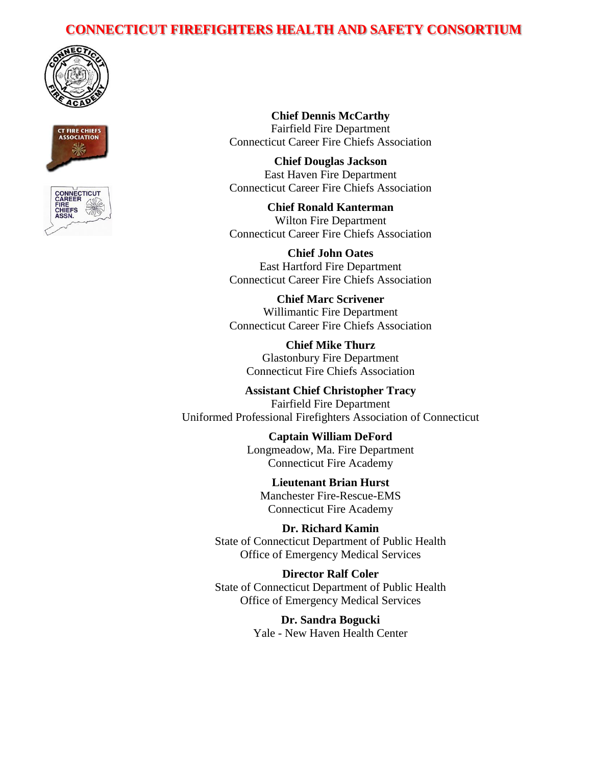





**Chief Dennis McCarthy** Fairfield Fire Department Connecticut Career Fire Chiefs Association

**Chief Douglas Jackson** East Haven Fire Department Connecticut Career Fire Chiefs Association

**Chief Ronald Kanterman** Wilton Fire Department Connecticut Career Fire Chiefs Association

**Chief John Oates** East Hartford Fire Department Connecticut Career Fire Chiefs Association

**Chief Marc Scrivener** Willimantic Fire Department Connecticut Career Fire Chiefs Association

**Chief Mike Thurz** Glastonbury Fire Department Connecticut Fire Chiefs Association

**Assistant Chief Christopher Tracy** Fairfield Fire Department Uniformed Professional Firefighters Association of Connecticut

> **Captain William DeFord** Longmeadow, Ma. Fire Department Connecticut Fire Academy

**Lieutenant Brian Hurst** Manchester Fire-Rescue-EMS Connecticut Fire Academy

**Dr. Richard Kamin** State of Connecticut Department of Public Health Office of Emergency Medical Services

**Director Ralf Coler** State of Connecticut Department of Public Health Office of Emergency Medical Services

> **Dr. Sandra Bogucki** Yale - New Haven Health Center